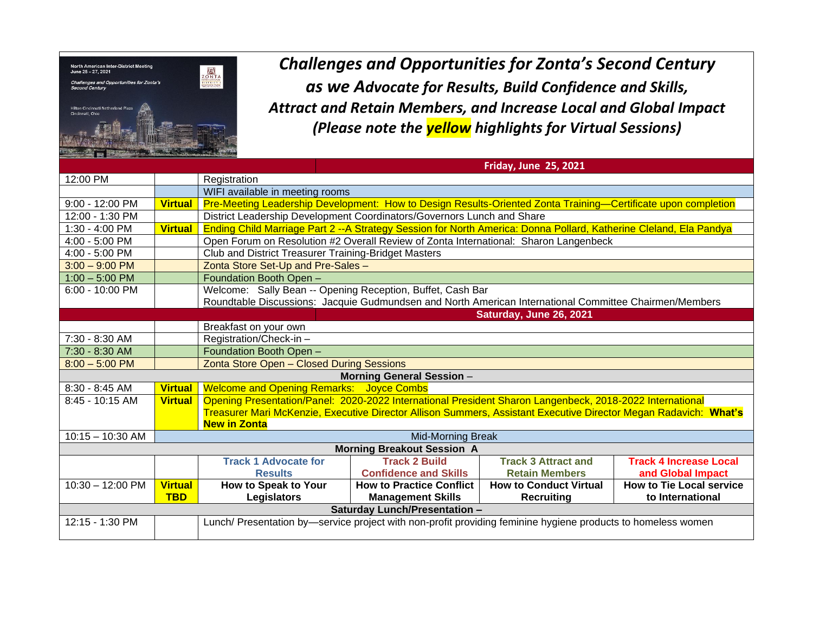

*Challenges and Opportunities for Zonta's Second Century as we Advocate for Results, Build Confidence and Skills, Attract and Retain Members, and Increase Local and Global Impact (Please note the yellow highlights for Virtual Sessions)*

|                                                                                                       |                |                                                                                                                   | <b>Friday, June 25, 2021</b>    |                               |                                 |  |  |  |  |
|-------------------------------------------------------------------------------------------------------|----------------|-------------------------------------------------------------------------------------------------------------------|---------------------------------|-------------------------------|---------------------------------|--|--|--|--|
| 12:00 PM                                                                                              |                | Registration                                                                                                      |                                 |                               |                                 |  |  |  |  |
|                                                                                                       |                | WIFI available in meeting rooms                                                                                   |                                 |                               |                                 |  |  |  |  |
| 9:00 - 12:00 PM                                                                                       | <b>Virtual</b> | Pre-Meeting Leadership Development: How to Design Results-Oriented Zonta Training-Certificate upon completion     |                                 |                               |                                 |  |  |  |  |
| 12:00 - 1:30 PM                                                                                       |                | District Leadership Development Coordinators/Governors Lunch and Share                                            |                                 |                               |                                 |  |  |  |  |
| 1:30 - 4:00 PM                                                                                        | <b>Virtual</b> | Ending Child Marriage Part 2 --A Strategy Session for North America: Donna Pollard, Katherine Cleland, Ela Pandya |                                 |                               |                                 |  |  |  |  |
| 4:00 - 5:00 PM                                                                                        |                | Open Forum on Resolution #2 Overall Review of Zonta International: Sharon Langenbeck                              |                                 |                               |                                 |  |  |  |  |
| 4:00 - 5:00 PM                                                                                        |                | Club and District Treasurer Training-Bridget Masters                                                              |                                 |                               |                                 |  |  |  |  |
| $3:00 - 9:00$ PM                                                                                      |                | Zonta Store Set-Up and Pre-Sales -                                                                                |                                 |                               |                                 |  |  |  |  |
| $1:00 - 5:00$ PM                                                                                      |                | Foundation Booth Open -                                                                                           |                                 |                               |                                 |  |  |  |  |
| 6:00 - 10:00 PM                                                                                       |                | Welcome: Sally Bean -- Opening Reception, Buffet, Cash Bar                                                        |                                 |                               |                                 |  |  |  |  |
|                                                                                                       |                | Roundtable Discussions: Jacquie Gudmundsen and North American International Committee Chairmen/Members            |                                 |                               |                                 |  |  |  |  |
| Saturday, June 26, 2021                                                                               |                |                                                                                                                   |                                 |                               |                                 |  |  |  |  |
|                                                                                                       |                | Breakfast on your own                                                                                             |                                 |                               |                                 |  |  |  |  |
| 7:30 - 8:30 AM                                                                                        |                | Registration/Check-in-                                                                                            |                                 |                               |                                 |  |  |  |  |
| 7:30 - 8:30 AM                                                                                        |                | Foundation Booth Open -                                                                                           |                                 |                               |                                 |  |  |  |  |
| $8:00 - 5:00$ PM                                                                                      |                | Zonta Store Open - Closed During Sessions                                                                         |                                 |                               |                                 |  |  |  |  |
| <b>Morning General Session -</b>                                                                      |                |                                                                                                                   |                                 |                               |                                 |  |  |  |  |
| 8:30 - 8:45 AM                                                                                        | <b>Virtual</b> | <b>Welcome and Opening Remarks: Joyce Combs</b>                                                                   |                                 |                               |                                 |  |  |  |  |
| 8:45 - 10:15 AM                                                                                       | <b>Virtual</b> | Opening Presentation/Panel: 2020-2022 International President Sharon Langenbeck, 2018-2022 International          |                                 |                               |                                 |  |  |  |  |
|                                                                                                       |                | Treasurer Mari McKenzie, Executive Director Allison Summers, Assistant Executive Director Megan Radavich: What's  |                                 |                               |                                 |  |  |  |  |
|                                                                                                       |                | <b>New in Zonta</b>                                                                                               |                                 |                               |                                 |  |  |  |  |
| $10:15 - 10:30$ AM                                                                                    |                | <b>Mid-Morning Break</b>                                                                                          |                                 |                               |                                 |  |  |  |  |
| <b>Morning Breakout Session A</b>                                                                     |                |                                                                                                                   |                                 |                               |                                 |  |  |  |  |
|                                                                                                       |                | <b>Track 1 Advocate for</b>                                                                                       | <b>Track 2 Build</b>            | <b>Track 3 Attract and</b>    | <b>Track 4 Increase Local</b>   |  |  |  |  |
|                                                                                                       |                | <b>Results</b>                                                                                                    | <b>Confidence and Skills</b>    | <b>Retain Members</b>         | and Global Impact               |  |  |  |  |
| 10:30 - 12:00 PM                                                                                      | <b>Virtual</b> | How to Speak to Your                                                                                              | <b>How to Practice Conflict</b> | <b>How to Conduct Virtual</b> | <b>How to Tie Local service</b> |  |  |  |  |
| <b>TBD</b><br><b>Legislators</b><br><b>Management Skills</b><br><b>Recruiting</b><br>to International |                |                                                                                                                   |                                 |                               |                                 |  |  |  |  |
| Saturday Lunch/Presentation -                                                                         |                |                                                                                                                   |                                 |                               |                                 |  |  |  |  |
| 12:15 - 1:30 PM                                                                                       |                | Lunch/ Presentation by—service project with non-profit providing feminine hygiene products to homeless women      |                                 |                               |                                 |  |  |  |  |
|                                                                                                       |                |                                                                                                                   |                                 |                               |                                 |  |  |  |  |